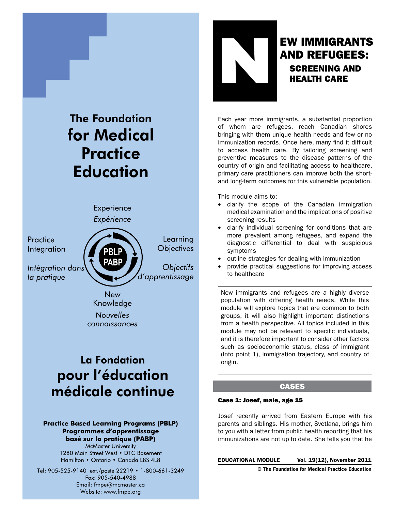

#### **Practice Based Learning Programs (PBLP)** Programmes d'apprentissage basé sur la pratique (PABP)

**McMaster University** 1280 Main Street West • DTC Basement Hamilton • Ontario • Canada L8S 4L8

Tel: 905-525-9140 ext./poste 22219 • 1-800-661-3249 Fax: 905-540-4988 Email: fmpe@mcmaster.ca Website: www.fmpe.org



# **NEW IMMIGRANTS<br>AND REFUGEES:<br>SCREENING AND<br>HEALTH CARE** and refugees: screening and health care

Each year more immigrants, a substantial proportion of whom are refugees, reach Canadian shores bringing with them unique health needs and few or no immunization records. Once here, many find it difficult to access health care. By tailoring screening and preventive measures to the disease patterns of the country of origin and facilitating access to healthcare, primary care practitioners can improve both the shortand long-term outcomes for this vulnerable population.

This module aims to:

- clarify the scope of the Canadian immigration medical examination and the implications of positive screening results
- clarify individual screening for conditions that are more prevalent among refugees, and expand the diagnostic differential to deal with suspicious symptoms
- outline strategies for dealing with immunization
- provide practical suggestions for improving access to healthcare

New immigrants and refugees are a highly diverse population with differing health needs. While this module will explore topics that are common to both groups, it will also highlight important distinctions from a health perspective. All topics included in this module may not be relevant to specific individuals, and it is therefore important to consider other factors such as socioeconomic status, class of immigrant (Info point 1), immigration trajectory, and country of origin.

# CASES

# Case 1: Josef, male, age 15

Josef recently arrived from Eastern Europe with his parents and siblings. His mother, Svetlana, brings him to you with a letter from public health reporting that his immunizations are not up to date. She tells you that he

EDUCATIONAL MODULE Vol. 19(12), November 2011

© The Foundation for Medical Practice Education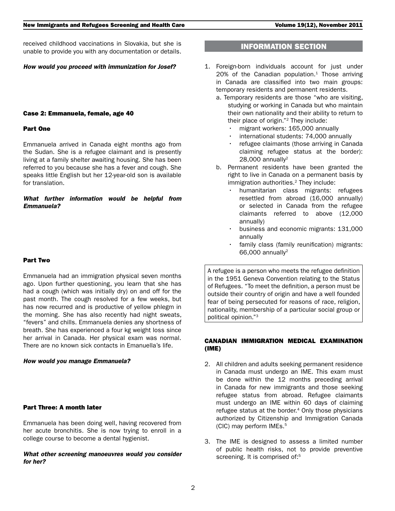received childhood vaccinations in Slovakia, but she is unable to provide you with any documentation or details.

#### *How would you proceed with immunization for Josef?*

#### Case 2: Emmanuela, female, age 40

#### Part One

Emmanuela arrived in Canada eight months ago from the Sudan. She is a refugee claimant and is presently living at a family shelter awaiting housing. She has been referred to you because she has a fever and cough. She speaks little English but her 12-year-old son is available for translation.

# *What further information would be helpful from Emmanuela?*

#### Part Two

Emmanuela had an immigration physical seven months ago. Upon further questioning, you learn that she has had a cough (which was initially dry) on and off for the past month. The cough resolved for a few weeks, but has now recurred and is productive of yellow phlegm in the morning. She has also recently had night sweats, "fevers" and chills. Emmanuela denies any shortness of breath. She has experienced a four kg weight loss since her arrival in Canada. Her physical exam was normal. There are no known sick contacts in Emanuella's life.

#### *How would you manage Emmanuela?*

# Part Three: A month later

Emmanuela has been doing well, having recovered from her acute bronchitis. She is now trying to enroll in a college course to become a dental hygienist.

#### *What other screening manoeuvres would you consider for her?*

# INFORMATION SECTION

- 1. Foreign-born individuals account for just under  $20\%$  of the Canadian population.<sup>1</sup> Those arriving in Canada are classified into two main groups: temporary residents and permanent residents.
	- a. Temporary residents are those "who are visiting, studying or working in Canada but who maintain their own nationality and their ability to return to their place of origin."2 They include:
		- migrant workers: 165,000 annually
		- international students: 74,000 annually
		- refugee claimants (those arriving in Canada claiming refugee status at the border):  $28,000$  annually<sup>2</sup>
	- b. Permanent residents have been granted the right to live in Canada on a permanent basis by immigration authorities.<sup>2</sup> They include:
		- humanitarian class migrants: refugees resettled from abroad (16,000 annually) or selected in Canada from the refugee claimants referred to above (12,000 annually)
		- business and economic migrants: 131,000 annually
		- family class (family reunification) migrants: 66,000 annually<sup>2</sup>

A refugee is a person who meets the refugee definition in the 1951 Geneva Convention relating to the Status of Refugees. "To meet the definition, a person must be outside their country of origin and have a well founded fear of being persecuted for reasons of race, religion, nationality, membership of a particular social group or political opinion."<sup>3</sup>

## CANADIAN IMMIGRATION MEDICAL EXAMINATION (IME)

- 2. All children and adults seeking permanent residence in Canada must undergo an IME. This exam must be done within the 12 months preceding arrival in Canada for new immigrants and those seeking refugee status from abroad. Refugee claimants must undergo an IME within 60 days of claiming refugee status at the border.<sup>4</sup> Only those physicians authorized by Citizenship and Immigration Canada (CIC) may perform IMEs.<sup>5</sup>
- 3. The IME is designed to assess a limited number of public health risks, not to provide preventive screening. It is comprised of:<sup>5</sup>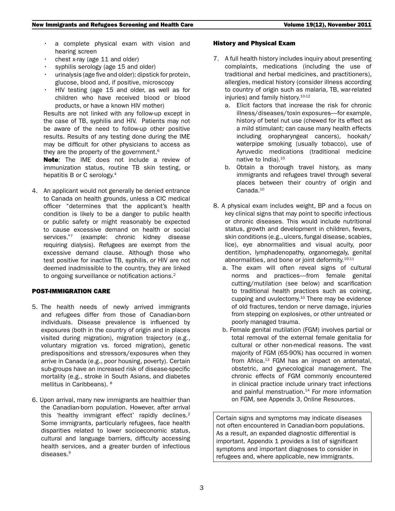- a complete physical exam with vision and hearing screen
- chest x-ray (age  $11$  and older)
- syphilis serology (age 15 and older)
- urinalysis (age five and older): dipstick for protein, glucose, blood and, if positive, microscopy
- HIV testing (age 15 and older, as well as for children who have received blood or blood products, or have a known HIV mother)

Results are not linked with any follow-up except in the case of TB, syphilis and HIV. Patients may not be aware of the need to follow-up other positive results. Results of any testing done during the IME may be difficult for other physicians to access as they are the property of the government.<sup>6</sup>

Note: The IME does not include a review of immunization status, routine TB skin testing, or hepatitis B or C serology.<sup>4</sup>

4. An applicant would not generally be denied entrance to Canada on health grounds, unless a CIC medical officer "determines that the applicant's health condition is likely to be a danger to public health or public safety or might reasonably be expected to cause excessive demand on health or social services."7 (example: chronic kidney disease requiring dialysis). Refugees are exempt from the excessive demand clause. Although those who test positive for inactive TB, syphilis, or HIV are not deemed inadmissible to the country, they are linked to ongoing surveillance or notification actions.<sup>2</sup>

# POST-IMMIGRATION CARE

- 5. The health needs of newly arrived immigrants and refugees differ from those of Canadian-born individuals. Disease prevalence is influenced by exposures (both in the country of origin and in places visited during migration), migration trajectory (e.g., voluntary migration vs. forced migration), genetic predispositions and stressors/exposures when they arrive in Canada (e.g., poor housing, poverty). Certain sub-groups have an increased risk of disease-specific mortality (e.g., stroke in South Asians, and diabetes mellitus in Caribbeans). 8
- 6. Upon arrival, many new immigrants are healthier than the Canadian-born population. However, after arrival this 'healthy immigrant effect' rapidly declines.<sup>2</sup> Some immigrants, particularly refugees, face health disparities related to lower socioeconomic status, cultural and language barriers, difficulty accessing health services, and a greater burden of infectious diseases.9

#### History and Physical Exam

- 7. A full health history includes inquiry about presenting complaints, medications (including the use of traditional and herbal medicines, and practitioners), allergies, medical history (consider illness according to country of origin such as malaria, TB, war-related injuries) and family history.<sup>10-12</sup>
	- a. Elicit factors that increase the risk for chronic illness/diseases/toxin exposures—for example, history of betel nut use (chewed for its effect as a mild stimulant; can cause many health effects including oropharyngeal cancers), hookah/ waterpipe smoking (usually tobacco), use of Ayruvedic medications (traditional medicine native to India).10
	- b. Obtain a thorough travel history, as many immigrants and refugees travel through several places between their country of origin and Canada.<sup>10</sup>
- 8. A physical exam includes weight, BP and a focus on key clinical signs that may point to specific infectious or chronic diseases. This would include nutritional status, growth and development in children, fevers, skin conditions (e.g., ulcers, fungal disease, scabies, lice), eye abnormalities and visual acuity, poor dentition, lymphadenopathy, organomegaly, genital abnormalities, and bone or joint deformity.<sup>10;11</sup>
	- a. The exam will often reveal signs of cultural norms and practices—from female genital cutting/mutilation (see below) and scarification to traditional health practices such as coining, cupping and uvulectomy. $10$  There may be evidence of old fractures, tendon or nerve damage, injuries from stepping on explosives, or other untreated or poorly managed trauma.
	- b. Female genital mutilation (FGM) involves partial or total removal of the external female genitalia for cultural or other non-medical reasons. The vast majority of FGM (65-90%) has occurred in women from Africa. $13$  FGM has an impact on antenatal, obstetric, and gynecological management. The chronic effects of FGM commonly encountered in clinical practice include urinary tract infections and painful menstruation. $14$  For more information on FGM, see Appendix 3, Online Resources.

Certain signs and symptoms may indicate diseases not often encountered in Canadian-born populations. As a result, an expanded diagnostic differential is important. Appendix 1 provides a list of significant symptoms and important diagnoses to consider in refugees and, where applicable, new immigrants.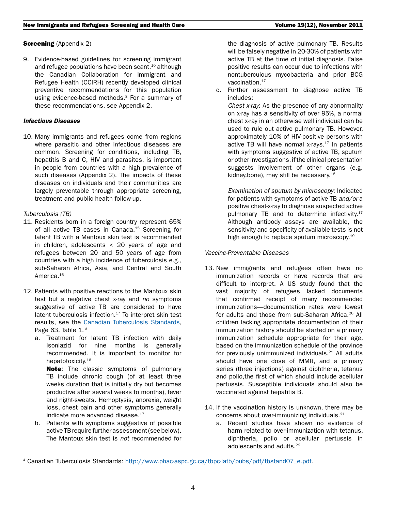# **Screening** (Appendix 2)

9. Evidence-based guidelines for screening immigrant and refugee populations have been scant, $10$  although the Canadian Collaboration for Immigrant and Refugee Health (CCIRH) recently developed clinical preventive recommendations for this population using evidence-based methods.<sup>8</sup> For a summary of these recommendations, see Appendix 2.

# *Infectious Diseases*

10. Many immigrants and refugees come from regions where parasitic and other infectious diseases are common. Screening for conditions, including TB, hepatitis B and C, HIV and parasites, is important in people from countries with a high prevalence of such diseases (Appendix 2). The impacts of these diseases on individuals and their communities are largely preventable through appropriate screening, treatment and public health follow-up.

# *Tuberculosis (TB)*

- 11. Residents born in a foreign country represent 65% of all active TB cases in Canada.<sup>15</sup> Screening for latent TB with a Mantoux skin test is recommended in children, adolescents < 20 years of age and refugees between 20 and 50 years of age from countries with a high incidence of tuberculosis e.g., sub-Saharan Africa, Asia, and Central and South America.<sup>16</sup>
- 12. Patients with positive reactions to the Mantoux skin test but a negative chest x-ray and *no* symptoms suggestive of active TB are considered to have latent tuberculosis infection.<sup>17</sup> To interpret skin test results, see the [Canadian Tuberculosis Standards,](http://www.phac-aspc.gc.ca/tbpc-latb/pubs/pdf/tbstand07_e.pdf) Page 63, Table  $1.^A$ 
	- a. Treatment for latent TB infection with daily isoniazid for nine months is generally recommended. It is important to monitor for hepatotoxicity.<sup>16</sup>

**Note:** The classic symptoms of pulmonary TB include chronic cough (of at least three weeks duration that is initially dry but becomes productive after several weeks to months), fever and night-sweats. Hemoptysis, anorexia, weight loss, chest pain and other symptoms generally indicate more advanced disease.<sup>17</sup>

b. Patients with symptoms suggestive of possible active TB require further assessment (see below). The Mantoux skin test is *not* recommended for the diagnosis of active pulmonary TB. Results will be falsely negative in 20-30% of patients with active TB at the time of initial diagnosis. False positive results can occur due to infections with nontuberculous mycobacteria and prior BCG vaccination.<sup>17</sup>

c. Further assessment to diagnose active TB includes:

*Chest x-ray*: As the presence of any abnormality on x-ray has a sensitivity of over 95%, a normal chest x-ray in an otherwise well individual can be used to rule out active pulmonary TB. However, approximately 10% of HIV-positive persons with active TB will have normal x-rays. $17$  In patients with symptoms suggestive of active TB, sputum or other investigations, if the clinical presentation suggests involvement of other organs (e.g. kidney, bone), may still be necessary.<sup>18</sup>

*Examination of sputum by microscopy*: Indicated for patients with symptoms of active TB *and/or* a positive chest-x-ray to diagnose suspected active pulmonary TB and to determine infectivity.<sup>17</sup> Although antibody assays are available, the sensitivity and specificity of available tests is not high enough to replace sputum microscopy.<sup>19</sup>

# *Vaccine-Preventable Diseases*

- 13. New immigrants and refugees often have no immunization records or have records that are difficult to interpret. A US study found that the vast majority of refugees lacked documents that confirmed receipt of many recommended immunizations—documentation rates were lowest for adults and those from sub-Saharan Africa.<sup>20</sup> All children lacking appropriate documentation of their immunization history should be started on a primary immunization schedule appropriate for their age, based on the immunization schedule of the province for previously unimmunized individuals.<sup>21</sup> All adults should have one dose of MMR, and a primary series (three injections) against diphtheria, tetanus and polio,the first of which should include acellular pertussis. Susceptible individuals should also be vaccinated against hepatitis B.
- 14. If the vaccination history is unknown, there may be concerns about over-immunizing individuals.21
	- a. Recent studies have shown no evidence of harm related to over-immunization with tetanus, diphtheria, polio or acellular pertussis in adolescents and adults.22

A Canadian Tuberculosis Standards: [http://www.phac-aspc.gc.ca/tbpc-latb/pubs/pdf/tbstand07\\_e.pdf](http://www.phac-aspc.gc.ca/tbpc-latb/pubs/pdf/tbstand07_e.pdf).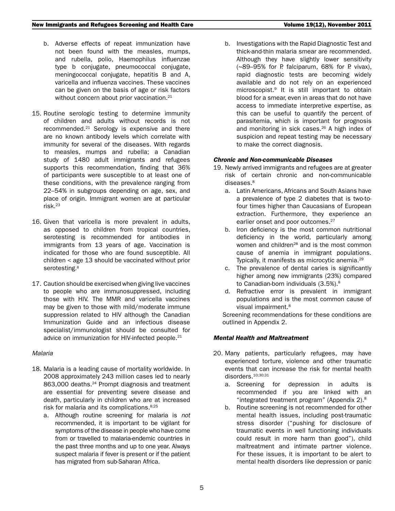- b. Adverse effects of repeat immunization have not been found with the measles, mumps, and rubella, polio, Haemophilus influenzae type b conjugate, pneumococcal conjugate, meningococcal conjugate, hepatitis B and A, varicella and influenza vaccines. These vaccines can be given on the basis of age or risk factors without concern about prior vaccination.<sup>21</sup>
- 15. Routine serologic testing to determine immunity of children and adults without records is not recommended.21 Serology is expensive and there are no known antibody levels which correlate with immunity for several of the diseases. With regards to measles, mumps and rubella; a Canadian study of 1480 adult immigrants and refugees supports this recommendation, finding that 36% of participants were susceptible to at least one of these conditions, with the prevalence ranging from 22–54% in subgroups depending on age, sex, and place of origin. Immigrant women are at particular risk.<sup>23</sup>
- 16. Given that varicella is more prevalent in adults, as opposed to children from tropical countries, serotesting is recommended for antibodies in immigrants from 13 years of age. Vaccination is indicated for those who are found susceptible. All children < age 13 should be vaccinated without prior serotesting. 8
- 17. Caution should be exercised when giving live vaccines to people who are immunosuppressed, including those with HIV. The MMR and varicella vaccines may be given to those with mild/moderate immune suppression related to HIV although the Canadian Immunization Guide and an infectious disease specialist/immunologist should be consulted for advice on immunization for HIV-infected people.<sup>21</sup>

# *Malaria*

- 18. Malaria is a leading cause of mortality worldwide. In 2008 approximately 243 million cases led to nearly 863,000 deaths.<sup>24</sup> Prompt diagnosis and treatment are essential for preventing severe disease and death, particularly in children who are at increased risk for malaria and its complications.<sup>8;25</sup>
	- a. Although routine screening for malaria is *not* recommended, it is important to be vigilant for symptoms of the disease in people who have come from or travelled to malaria-endemic countries in the past three months and up to one year. Always suspect malaria if fever is present or if the patient has migrated from sub-Saharan Africa.

b. Investigations with the Rapid Diagnostic Test and thick-and-thin malaria smear are recommended. Although they have slightly lower sensitivity (~89–95% for P. falciparum, 68% for P. vivax), rapid diagnostic tests are becoming widely available and do not rely on an experienced microscopist.9 It is still important to obtain blood for a smear, even in areas that do not have access to immediate interpretive expertise, as this can be useful to quantify the percent of parasitemia, which is important for prognosis and monitoring in sick cases.<sup>26</sup> A high index of suspicion and repeat testing may be necessary to make the correct diagnosis.

# *Chronic and Non-communicable Diseases*

- 19. Newly arrived immigrants and refugees are at greater risk of certain chronic and non-communicable diseases.<sup>8</sup>
	- a. Latin Americans, Africans and South Asians have a prevalence of type 2 diabetes that is two-tofour times higher than Caucasians of European extraction. Furthermore, they experience an earlier onset and poor outcomes.<sup>27</sup>
	- b. Iron deficiency is the most common nutritional deficiency in the world, particularly among women and children<sup>28</sup> and is the most common cause of anemia in immigrant populations. Typically, it manifests as microcytic anemia.29
	- c. The prevalence of dental caries is significantly higher among new immigrants (23%) compared to Canadian-born individuals (3.5%).<sup>8</sup>
	- d. Refractive error is prevalent in immigrant populations and is the most common cause of visual impairment.<sup>8</sup>

Screening recommendations for these conditions are outlined in Appendix 2.

# *Mental Health and Maltreatment*

- 20. Many patients, particularly refugees, may have experienced torture, violence and other traumatic events that can increase the risk for mental health disorders.<sup>10;30;31</sup>
	- a. Screening for depression in adults is recommended if you are linked with an "integrated treatment program" (Appendix 2).8
	- b. Routine screening is not recommended for other mental health issues, including post-traumatic stress disorder ("pushing for disclosure of traumatic events in well functioning individuals could result in more harm than good"), child maltreatment and intimate partner violence. For these issues, it is important to be alert to mental health disorders like depression or panic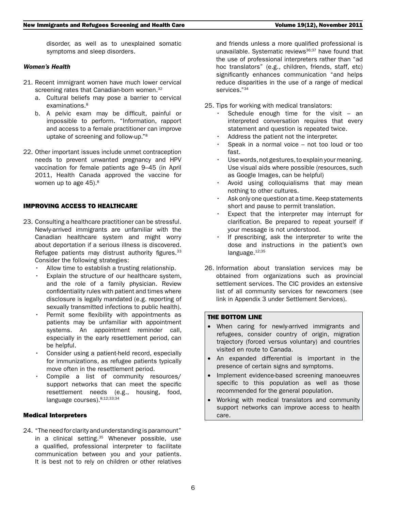disorder, as well as to unexplained somatic symptoms and sleep disorders.

#### *Women's Health*

- 21. Recent immigrant women have much lower cervical screening rates that Canadian-born women.<sup>32</sup>
	- a. Cultural beliefs may pose a barrier to cervical examinations.<sup>8</sup>
	- b. A pelvic exam may be difficult, painful or impossible to perform. "Information, rapport and access to a female practitioner can improve uptake of screening and follow-up."8
- 22. Other important issues include unmet contraception needs to prevent unwanted pregnancy and HPV vaccination for female patients age 9–45 (in April 2011, Health Canada approved the vaccine for women up to age 45).<sup>8</sup>

#### IMPROVING ACCESS TO HEALTHCARE

- 23. Consulting a healthcare practitioner can be stressful. Newly-arrived immigrants are unfamiliar with the Canadian healthcare system and might worry about deportation if a serious illness is discovered. Refugee patients may distrust authority figures.<sup>33</sup> Consider the following strategies:
	- Allow time to establish a trusting relationship.
	- Explain the structure of our healthcare system, and the role of a family physician. Review confidentiality rules with patient and times where disclosure is legally mandated (e.g. reporting of sexually transmitted infections to public health).
	- Permit some flexibility with appointments as patients may be unfamiliar with appointment systems. An appointment reminder call, especially in the early resettlement period, can be helpful.
	- Consider using a patient-held record, especially for immunizations, as refugee patients typically move often in the resettlement period.
	- Compile a list of community resources/ support networks that can meet the specific resettlement needs (e.g., housing, food, language courses). 8;12;33;34

#### Medical Interpreters

24. "The need for clarity and understanding is paramount" in a clinical setting.<sup>35</sup> Whenever possible, use a qualified, professional interpreter to facilitate communication between you and your patients. It is best not to rely on children or other relatives and friends unless a more qualified professional is unavailable. Systematic reviews<sup>36;37</sup> have found that the use of professional interpreters rather than "ad hoc translators" (e.g., children, friends, staff, etc) significantly enhances communication "and helps reduce disparities in the use of a range of medical services."<sup>34</sup>

25. Tips for working with medical translators:

- Schedule enough time for the visit  $-$  an interpreted conversation requires that every statement and question is repeated twice.
- Address the patient not the interpreter.
- Speak in a normal voice  $-$  not too loud or too fast.
- Use words, not gestures, to explain your meaning. Use visual aids where possible (resources, such as Google Images, can be helpful)
- Avoid using colloquialisms that may mean nothing to other cultures.
- • Ask only one question at a time. Keep statements short and pause to permit translation.
- Expect that the interpreter may interrupt for clarification. Be prepared to repeat yourself if your message is not understood.
- If prescribing, ask the interpreter to write the dose and instructions in the patient's own language.<sup>12;35</sup>
- 26. Information about translation services may be obtained from organizations such as provincial settlement services. The CIC provides an extensive list of all community services for newcomers (see link in Appendix 3 under Settlement Services).

#### THE BOTTOM LINE

- When caring for newly-arrived immigrants and refugees, consider country of origin, migration trajectory (forced versus voluntary) and countries visited en route to Canada.
- • An expanded differential is important in the presence of certain signs and symptoms.
- Implement evidence-based screening manoeuvres specific to this population as well as those recommended for the general population.
- Working with medical translators and community support networks can improve access to health care.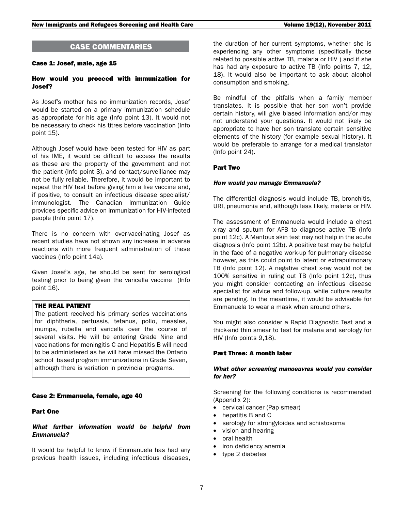# CASE COMMENTARIES

# Case 1: Josef, male, age 15

#### How would you proceed with immunization for Josef?

As Josef's mother has no immunization records, Josef would be started on a primary immunization schedule as appropriate for his age (Info point 13). It would not be necessary to check his titres before vaccination (Info point 15).

Although Josef would have been tested for HIV as part of his IME, it would be difficult to access the results as these are the property of the government and not the patient (Info point 3), and contact/surveillance may not be fully reliable. Therefore, it would be important to repeat the HIV test before giving him a live vaccine and, if positive, to consult an infectious disease specialist/ immunologist. The Canadian Immunization Guide provides specific advice on immunization for HIV-infected people (Info point 17).

There is no concern with over-vaccinating Josef as recent studies have not shown any increase in adverse reactions with more frequent administration of these vaccines (Info point 14a).

Given Josef's age, he should be sent for serological testing prior to being given the varicella vaccine (Info point 16).

#### THE REAL PATIENT

The patient received his primary series vaccinations for diphtheria, pertussis, tetanus, polio, measles, mumps, rubella and varicella over the course of several visits. He will be entering Grade Nine and vaccinations for meningitis C and Hepatitis B will need to be administered as he will have missed the Ontario school based program immunizations in Grade Seven, although there is variation in provincial programs.

#### Case 2: Emmanuela, female, age 40

# Part One

## *What further information would be helpful from Emmanuela?*

It would be helpful to know if Emmanuela has had any previous health issues, including infectious diseases,

the duration of her current symptoms, whether she is experiencing any other symptoms (specifically those related to possible active TB, malaria or HIV ) and if she has had any exposure to active TB (Info points 7, 12, 18). It would also be important to ask about alcohol consumption and smoking.

Be mindful of the pitfalls when a family member translates. It is possible that her son won't provide certain history, will give biased information and/or may not understand your questions. It would not likely be appropriate to have her son translate certain sensitive elements of the history (for example sexual history). It would be preferable to arrange for a medical translator (Info point 24).

#### Part Two

## *How would you manage Emmanuela?*

The differential diagnosis would include TB, bronchitis, URI, pneumonia and, although less likely, malaria or HIV.

The assessment of Emmanuela would include a chest x-ray and sputum for AFB to diagnose active TB (Info point 12c). A Mantoux skin test may not help in the acute diagnosis (Info point 12b). A positive test may be helpful in the face of a negative work-up for pulmonary disease however, as this could point to latent or extrapulmonary TB (Info point 12). A negative chest x-ray would not be 100% sensitive in ruling out TB (Info point 12c), thus you might consider contacting an infectious disease specialist for advice and follow-up, while culture results are pending. In the meantime, it would be advisable for Emmanuela to wear a mask when around others.

You might also consider a Rapid Diagnostic Test and a thick-and thin smear to test for malaria and serology for HIV (Info points 9,18).

#### Part Three: A month later

## *What other screening manoeuvres would you consider for her?*

Screening for the following conditions is recommended (Appendix 2):

- cervical cancer (Pap smear)
- hepatitis B and C
- serology for strongyloides and schistosoma
- vision and hearing
- oral health
- iron deficiency anemia
- type 2 diabetes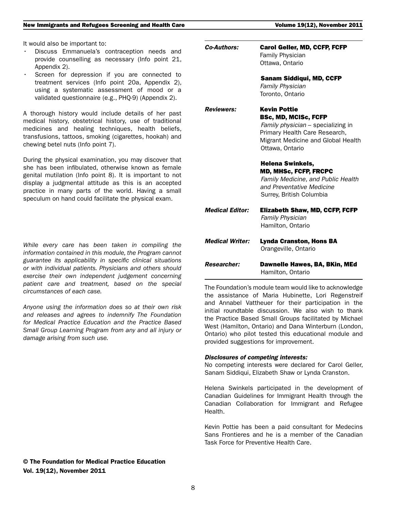It would also be important to:

- Discuss Emmanuela's contraception needs and provide counselling as necessary (Info point 21, Appendix 2).
- Screen for depression if you are connected to treatment services (Info point 20a, Appendix 2), using a systematic assessment of mood or a validated questionnaire (e.g., PHQ-9) (Appendix 2).

A thorough history would include details of her past medical history, obstetrical history, use of traditional medicines and healing techniques, health beliefs, transfusions, tattoos, smoking (cigarettes, hookah) and chewing betel nuts (Info point 7).

During the physical examination, you may discover that she has been infibulated, otherwise known as female genital mutilation (Info point 8). It is important to not display a judgmental attitude as this is an accepted practice in many parts of the world. Having a small speculum on hand could facilitate the physical exam.

*While every care has been taken in compiling the information contained in this module, the Program cannot guarantee its applicability in specific clinical situations or with individual patients. Physicians and others should exercise their own independent judgement concerning patient care and treatment, based on the special circumstances of each case.*

*Anyone using the information does so at their own risk and releases and agrees to indemnify The Foundation for Medical Practice Education and the Practice Based Small Group Learning Program from any and all injury or damage arising from such use.*

| <b>Researcher:</b>     | Dawnelle Hawes, BA, BKin, MEd<br>Hamilton, Ontario                                                                                                                                 |
|------------------------|------------------------------------------------------------------------------------------------------------------------------------------------------------------------------------|
| <b>Medical Writer:</b> | <b>Lynda Cranston, Hons BA</b><br>Orangeville, Ontario                                                                                                                             |
| <b>Medical Editor:</b> | <b>Elizabeth Shaw, MD, CCFP, FCFP</b><br><b>Family Physician</b><br>Hamilton, Ontario                                                                                              |
|                        | <b>Helena Swinkels,</b><br><b>MD, MHSc, FCFP, FRCPC</b><br>Family Medicine, and Public Health<br>and Preventative Medicine<br>Surrey, British Columbia                             |
| <b>Reviewers:</b>      | <b>Kevin Pottie</b><br><b>BSc, MD, MCISc, FCFP</b><br>Family physician - specializing in<br>Primary Health Care Research,<br>Migrant Medicine and Global Health<br>Ottawa, Ontario |
|                        | <b>Sanam Siddiqui, MD, CCFP</b><br><b>Family Physician</b><br>Toronto, Ontario                                                                                                     |
| <b>Co-Authors:</b>     | <b>Carol Geller, MD, CCFP, FCFP</b><br><b>Family Physician</b><br>Ottawa, Ontario                                                                                                  |

The Foundation's module team would like to acknowledge the assistance of Maria Hubinette, Lori Regenstreif and Annabel Vattheuer for their participation in the initial roundtable discussion. We also wish to thank the Practice Based Small Groups facilitated by Michael West (Hamilton, Ontario) and Dana Winterburn (London, Ontario) who pilot tested this educational module and provided suggestions for improvement.

#### *Disclosures of competing interests:*

No competing interests were declared for Carol Geller, Sanam Siddiqui, Elizabeth Shaw or Lynda Cranston.

Helena Swinkels participated in the development of Canadian Guidelines for Immigrant Health through the Canadian Collaboration for Immigrant and Refugee Health.

Kevin Pottie has been a paid consultant for Medecins Sans Frontieres and he is a member of the Canadian Task Force for Preventive Health Care.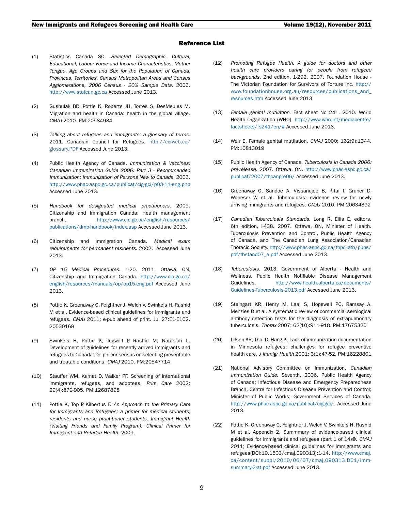#### Reference List

- (1) Statistics Canada SC. *Selected Demographic, Cultural, Educational, Labour Force and Income Characteristics, Mother Tongue, Age Groups and Sex for the Population of Canada, Provinces, Territories, Census Metropolitan Areas and Census Agglomerations, 2006 Census - 20% Sample Data*. 2006. http://www.statcan.gc.ca Accessed June 2013.
- (2) Gushulak BD, Pottie K, Roberts JH, Torres S, DesMeules M. Migration and health in Canada: health in the global village. *CMAJ* 2010. PM:20584934
- (3) *Talking about refugees and immigrants: a glossary of terms.* 2011. Canadian Council for Refugees. [http://ccrweb.ca/](http://ccrweb.ca/glossary.PDF) [glossary.PDF](http://ccrweb.ca/glossary.PDF) Accessed June 2013.
- (4) Public Health Agency of Canada. *Immunization & Vaccines: Canadian Immunization Guide 2006: Part 3 - Recommended Immunization: Immunization of Persons New to Canada*. 2006. http://www.phac-aspc.gc.ca/publicat/cig-gci/p03-11-eng.php Accessed June 2013.
- (5) *Handbook for designated medical practitioners*. 2009. Citizenship and Immigration Canada: Health management branch. [http://www.cic.gc.ca/english/resources/](http://www.cic.gc.ca/english/resources/publications/dmp-handbook/index.asp) [publications/dmp-handbook/index.asp](http://www.cic.gc.ca/english/resources/publications/dmp-handbook/index.asp) Accessed June 2013.
- (6) Citizenship and Immigration Canada. *Medical exam requirements for permanent residents*. 2002. Accessed June 2013.
- (7) *OP 15 Medical Procedures*. 1-20. 2011. Ottawa, ON, Citizenship and Immigration Canada. [http://www.cic.gc.ca/](http://www.cic.gc.ca/english/resources/manuals/op/op15-eng.pdf) [english/resources/manuals/op/op15-eng.pdf](http://www.cic.gc.ca/english/resources/manuals/op/op15-eng.pdf) Accessed June 2013.
- (8) Pottie K, Greenaway C, Feightner J, Welch V, Swinkels H, Rashid M et al. Evidence-based clinical guidelines for immigrants and refugees. *CMAJ* 2011; e-pub ahead of print. Jul 27:E1-E102. 20530168
- (9) Swinkels H, Pottie K, Tugwell P, Rashid M, Narasiah L. Development of guidelines for recently arrived immigrants and refugees to Canada: Delphi consensus on selecting preventable and treatable conditions. *CMAJ* 2010. PM:20547714
- (10) Stauffer WM, Kamat D, Walker PF. Screening of international immigrants, refugees, and adoptees. *Prim Care* 2002; 29(4):879-905. PM:12687898
- (11) Pottie K, Top P, Kilbertus F. *An Approach to the Primary Care for Immigrants and Refugees: a primer for medical students, residents and nurse practitioner students. Immigrant Health (Visiting Friends and Family Program). Clinical Primer for Immigrant and Refugee Health*. 2009.
- (12) *Promoting Refugee Health. A guide for doctors and other health care providers caring for people from refugeee backgrounds.* 2nd edition, 1-292. 2007. Foundation House - The Victorian Foundation for Survivors of Torture Inc. [http://](http://www.foundationhouse.org.au/resources/publications_and_resources.htm) [www.foundationhouse.org.au/resources/publications\\_and\\_](http://www.foundationhouse.org.au/resources/publications_and_resources.htm) [resources.htm](http://www.foundationhouse.org.au/resources/publications_and_resources.htm) Accessed June 2013.
- (13) *Female genital mutilation*. Fact sheet No 241. 2010. World Health Organization (WHO). [http://www.who.int/mediacentre/](http://www.who.int/mediacentre/factsheets/fs241/en/#) [factsheets/fs241/en/#](http://www.who.int/mediacentre/factsheets/fs241/en/#) Accessed June 2013.
- (14) Weir E. Female genital mutilation. *CMAJ* 2000; 162(9):1344. PM:10813019
- (15) Public Health Agency of Canada. *Tuberculosis in Canada 2006: pre-release*. 2007. Ottawa, ON. [http://www.phac-aspc.gc.ca/](http://www.phac-aspc.gc.ca/publicat/2007/tbcanpre06/) [publicat/2007/tbcanpre06/](http://www.phac-aspc.gc.ca/publicat/2007/tbcanpre06/) Accessed June 2013.
- (16) Greenaway C, Sandoe A, Vissandjee B, Kitai I, Gruner D, Wobeser W et al. Tuberculosis: evidence review for newly arriving immigrants and refugees. *CMAJ* 2010. PM:20634392
- (17) *Canadian Tuberculosis Standards*. Long R, Ellis E, editors. 6th edition, i-438. 2007. Ottawa, ON, Minister of Health. Tuberculosis Prevention and Control, Public Health Agency of Canada, and The Canadian Lung Association/Canadian Thoracic Society. [http://www.phac-aspc.gc.ca/tbpc-latb/pubs/](http://www.phac-aspc.gc.ca/tbpc-latb/pubs/pdf/tbstand07_e.pdf) [pdf/tbstand07\\_e.pdf](http://www.phac-aspc.gc.ca/tbpc-latb/pubs/pdf/tbstand07_e.pdf) Accessed June 2013.
- (18) *Tuberculosis*. 2013. Government of Alberta Health and Wellness. Public Health Notifiable Disease Management Guidelines. [http://www.health.alberta.ca/documents/](http://www.health.alberta.ca/documents/Guidelines-Tuberculosis-2013.pdf) [Guidelines-Tuberculosis-2013.pdf](http://www.health.alberta.ca/documents/Guidelines-Tuberculosis-2013.pdf) Accessed June 2013.
- (19) Steingart KR, Henry M, Laal S, Hopewell PC, Ramsay A, Menzies D et al. A systematic review of commercial serological antibody detection tests for the diagnosis of extrapulmonary tuberculosis. *Thorax* 2007; 62(10):911-918. PM:17675320
- (20) Lifson AR, Thai D, Hang K. Lack of immunization documentation in Minnesota refugees: challenges for refugee preventive health care. *J Immigr Health* 2001; 3(1):47-52. PM:16228801
- (21) National Advisory Committee on Immunization. *Canadian Immunization Guide*. Seventh. 2006. Public Health Agency of Canada; Infectious Disease and Emergency Preparedness Branch, Centre for Infectious Disease Prevention and Control; Minister of Public Works; Government Services of Canada. <http://www.phac-aspc.gc.ca/publicat/cig-gci/>. Accessed June 2013.
- (22) Pottie K, Greenaway C, Feightner J, Welch V, Swinkels H, Rashid M et al. Appendix 2. Summmary of evidence-based clinical guidelines for immigrants and refugees (part 1 of 14)©. *CMAJ* 2011; Evidence-based clinical guidelines for immigrants and refugees(DOI:10.1503/cmaj.090313):1-14. [http://www.cmaj.](http://www.cmaj.ca/content/suppl/2010/06/07/cmaj.090313.DC1/imm-summary-2-at.pdf) [ca/content/suppl/2010/06/07/cmaj.090313.DC1/imm](http://www.cmaj.ca/content/suppl/2010/06/07/cmaj.090313.DC1/imm-summary-2-at.pdf)[summary-2-at.pdf](http://www.cmaj.ca/content/suppl/2010/06/07/cmaj.090313.DC1/imm-summary-2-at.pdf) Accessed June 2013.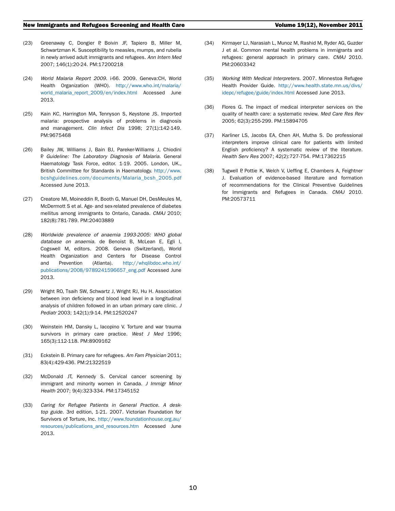- (23) Greenaway C, Dongier P, Boivin JF, Tapiero B, Miller M, Schwartzman K. Susceptibility to measles, mumps, and rubella in newly arrived adult immigrants and refugees. *Ann Intern Med* 2007; 146(1):20-24. PM:17200218
- (24) *World Malaria Report 2009*. i-66. 2009. Geneva:CH, World Health Organization (WHO). [http://www.who.int/malaria/](http://www.who.int/malaria/world_malaria_report_2009/en/index.html) [world\\_malaria\\_report\\_2009/en/index.html](http://www.who.int/malaria/world_malaria_report_2009/en/index.html) Accessed June 2013.
- (25) Kain KC, Harrington MA, Tennyson S, Keystone JS. Imported malaria: prospective analysis of problems in diagnosis and management. *Clin Infect Dis* 1998; 27(1):142-149. PM:9675468
- (26) Bailey JW, Williams J, Bain BJ, Pareker-Williams J, Chiodini P. *Guideline: The Laboratory Diagnosis of Malaria*. General Haematology Task Force, editor. 1-19. 2005. London, UK., British Committee for Standards in Haematology. [http://www.](http://www.bcshguidelines.com/documents/Malaria_bcsh_2005.pdf) [bcshguidelines.com/documents/Malaria\\_bcsh\\_2005.pdf](http://www.bcshguidelines.com/documents/Malaria_bcsh_2005.pdf) Accessed June 2013.
- (27) Creatore MI, Moineddin R, Booth G, Manuel DH, DesMeules M, McDermott S et al. Age- and sex-related prevalence of diabetes mellitus among immigrants to Ontario, Canada. *CMAJ* 2010; 182(8):781-789. PM:20403889
- (28) *Worldwide prevalence of anaemia 1993-2005: WHO global database on anaemia*. de Benoist B, McLean E, Egli I, Cogswell M, editors. 2008. Geneva (Switzerland), World Health Organization and Centers for Disease Control and Prevention (Atlanta). [http://whqlibdoc.who.int/](http://whqlibdoc.who.int/publications/2008/9789241596657_eng.pdf) [publications/2008/9789241596657\\_eng.pdf](http://whqlibdoc.who.int/publications/2008/9789241596657_eng.pdf) Accessed June 2013.
- (29) Wright RO, Tsaih SW, Schwartz J, Wright RJ, Hu H. Association between iron deficiency and blood lead level in a longitudinal analysis of children followed in an urban primary care clinic. *J Pediatr* 2003; 142(1):9-14. PM:12520247
- (30) Weinstein HM, Dansky L, Iacopino V. Torture and war trauma survivors in primary care practice. *West J Med* 1996; 165(3):112-118. PM:8909162
- (31) Eckstein B. Primary care for refugees. *Am Fam Physician* 2011; 83(4):429-436. PM:21322519
- (32) McDonald JT, Kennedy S. Cervical cancer screening by immigrant and minority women in Canada. *J Immigr Minor Health* 2007; 9(4):323-334. PM:17345152
- (33) *Caring for Refugee Patients in General Practice. A desktop guide*. 3rd edition, 1-21. 2007. Victorian Foundation for Survivors of Torture, Inc. http://www.foundationhouse.org.au/ resources/publications\_and\_resources.htm Accessed June 2013.
- (34) Kirmayer LJ, Narasiah L, Munoz M, Rashid M, Ryder AG, Guzder J et al. Common mental health problems in immigrants and refugees: general approach in primary care. *CMAJ* 2010. PM:20603342
- (35) *Working With Medical Interpreters*. 2007. Minnestoa Refugee Health Provider Guide. [http://www.health.state.mn.us/divs/](http://www.health.state.mn.us/divs/idepc/refugee/guide/index.html) [idepc/refugee/guide/index.html](http://www.health.state.mn.us/divs/idepc/refugee/guide/index.html) Accessed June 2013.
- (36) Flores G. The impact of medical interpreter services on the quality of health care: a systematic review. *Med Care Res Rev* 2005; 62(3):255-299. PM:15894705
- (37) Karliner LS, Jacobs EA, Chen AH, Mutha S. Do professional interpreters improve clinical care for patients with limited English proficiency? A systematic review of the literature. *Health Serv Res* 2007; 42(2):727-754. PM:17362215
- (38) Tugwell P, Pottie K, Welch V, Ueffing E, Chambers A, Feightner J. Evaluation of evidence-based literature and formation of recommendations for the Clinical Preventive Guidelines for Immigrants and Refugees in Canada. *CMAJ* 2010. PM:20573711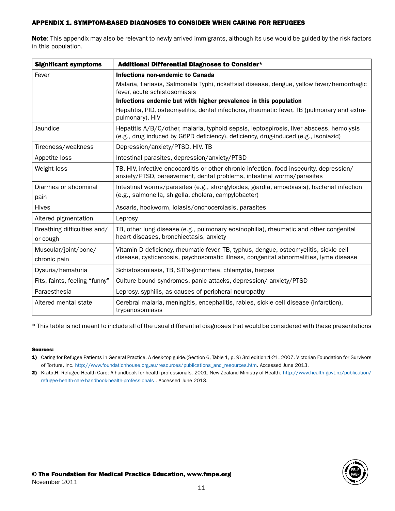# APPENDIX 1. SYMPTOM-BASED DIAGNOSES TO CONSIDER WHEN CARING FOR REFUGEES

Note: This appendix may also be relevant to newly arrived immigrants, although its use would be guided by the risk factors in this population.

| <b>Significant symptoms</b>             | Additional Differential Diagnoses to Consider*                                                                                                                                 |  |
|-----------------------------------------|--------------------------------------------------------------------------------------------------------------------------------------------------------------------------------|--|
| Fever                                   | Infections non-endemic to Canada                                                                                                                                               |  |
|                                         | Malaria, fiariasis, Salmonella Typhi, rickettsial disease, dengue, yellow fever/hemorrhagic<br>fever, acute schistosomiasis                                                    |  |
|                                         | Infections endemic but with higher prevalence in this population                                                                                                               |  |
|                                         | Hepatitis, PID, osteomyelitis, dental infections, rheumatic fever, TB (pulmonary and extra-<br>pulmonary), HIV                                                                 |  |
| Jaundice                                | Hepatitis A/B/C/other, malaria, typhoid sepsis, leptospirosis, liver abscess, hemolysis<br>(e.g., drug induced by G6PD deficiency), deficiency, drug-induced (e.g., isoniazid) |  |
| Tiredness/weakness                      | Depression/anxiety/PTSD, HIV, TB                                                                                                                                               |  |
| Appetite loss                           | Intestinal parasites, depression/anxiety/PTSD                                                                                                                                  |  |
| Weight loss                             | TB, HIV, infective endocarditis or other chronic infection, food insecurity, depression/<br>anxiety/PTSD, bereavement, dental problems, intestinal worms/parasites             |  |
| Diarrhea or abdominal<br>pain           | Intestinal worms/parasites (e.g., strongyloides, giardia, amoebiasis), bacterial infection<br>(e.g., salmonella, shigella, cholera, campylobacter)                             |  |
| <b>Hives</b>                            | Ascaris, hookworm, loiasis/onchocerciasis, parasites                                                                                                                           |  |
| Altered pigmentation                    | Leprosy                                                                                                                                                                        |  |
| Breathing difficulties and/<br>or cough | TB, other lung disease (e.g., pulmonary eosinophilia), rheumatic and other congenital<br>heart diseases, bronchiectasis, anxiety                                               |  |
| Muscular/joint/bone/<br>chronic pain    | Vitamin D deficiency, rheumatic fever, TB, typhus, dengue, osteomyelitis, sickle cell<br>disease, cysticercosis, psychosomatic illness, congenital abnormalities, lyme disease |  |
| Dysuria/hematuria                       | Schistosomiasis, TB, STI's-gonorrhea, chlamydia, herpes                                                                                                                        |  |
| Fits, faints, feeling "funny"           | Culture bound syndromes, panic attacks, depression/ anxiety/PTSD                                                                                                               |  |
| Paraesthesia                            | Leprosy, syphilis, as causes of peripheral neuropathy                                                                                                                          |  |
| Altered mental state                    | Cerebral malaria, meningitis, encephalitis, rabies, sickle cell disease (infarction),<br>trypanosomiasis                                                                       |  |

\* This table is not meant to include all of the usual differential diagnoses that would be considered with these presentations

#### Sources:

- 1) Caring for Refugee Patients in General Practice. A desk-top guide.(Section 6, Table 1, p. 9) 3rd edition:1-21. 2007. Victorian Foundation for Survivors of Torture, Inc. http://www.foundationhouse.org.au/resources/publications\_and\_resources.htm. Accessed June 2013.
- 2) Kizito,H. Refugee Health Care: A handbook for health professionals. 2001. New Zealand Ministry of Health. [http://www.health.govt.nz/publication/](http://www.health.govt.nz/publication/refugee-health-care-handbook-health-professionals) [refugee-health-care-handbook-health-professionals](http://www.health.govt.nz/publication/refugee-health-care-handbook-health-professionals) . Accessed June 2013.

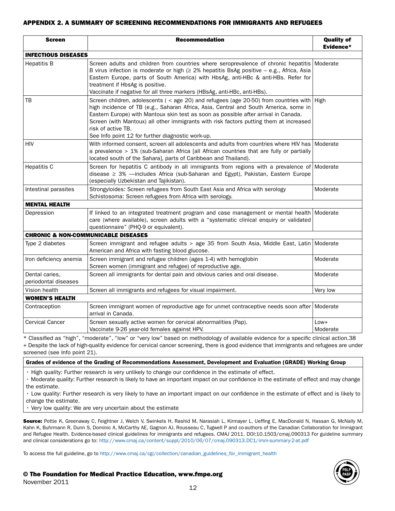# APPENDIX 2. A SUMMARY OF SCREENING RECOMMENDATIONS FOR IMMIGRANTS AND REFUGEES

| <b>Screen</b>                                  | <b>Recommendation</b>                                                                                                                                                                                                                                                                                                                                                                                                                              | <b>Quality of</b><br>Evidence* |  |
|------------------------------------------------|----------------------------------------------------------------------------------------------------------------------------------------------------------------------------------------------------------------------------------------------------------------------------------------------------------------------------------------------------------------------------------------------------------------------------------------------------|--------------------------------|--|
| <b>INFECTIOUS DISEASES</b>                     |                                                                                                                                                                                                                                                                                                                                                                                                                                                    |                                |  |
| <b>Hepatitis B</b>                             | Screen adults and children from countries where seroprevalence of chronic hepatitis Moderate<br>B virus infection is moderate or high ( $\geq$ 2% hepatitis BsAg positive – e.g., Africa, Asia<br>Eastern Europe, parts of South America) with HbsAg, anti-HBc & anti-HBs. Refer for<br>treatment if HbsAg is positive.<br>Vaccinate if negative for all three markers (HBsAg, anti-HBc, anti-HBs).                                                |                                |  |
| ТB                                             | Screen children, adolescents ( $\le$ age 20) and refugees (age 20-50) from countries with High<br>high incidence of TB (e.g., Saharan Africa, Asia, Central and South America, some in<br>Eastern Europe) with Mantoux skin test as soon as possible after arrival in Canada.<br>Screen (with Mantoux) all other immigrants with risk factors putting them at increased<br>risk of active TB.<br>See Info point 12 for further diagnostic work-up. |                                |  |
| HIV                                            | With informed consent, screen all adolescents and adults from countries where HIV has Moderate<br>a prevalence > 1% (sub-Saharan Africa [all African countries that are fully or partially<br>located south of the Sahara], parts of Caribbean and Thailand).                                                                                                                                                                                      |                                |  |
| <b>Hepatitis C</b>                             | Screen for hepatitis C antibody in all immigrants from regions with a prevalence of Moderate<br>disease ≥ 3% - includes Africa (sub-Saharan and Egypt), Pakistan, Eastern Europe<br>(especially Uzbekistan and Tajikistan).                                                                                                                                                                                                                        |                                |  |
| Intestinal parasites                           | Strongyloides: Screen refugees from South East Asia and Africa with serology<br>Schistosoma: Screen refugees from Africa with serology.                                                                                                                                                                                                                                                                                                            | Moderate                       |  |
| <b>MENTAL HEALTH</b>                           |                                                                                                                                                                                                                                                                                                                                                                                                                                                    |                                |  |
| Depression                                     | If linked to an integrated treatment program and case management or mental health Moderate<br>care (where available), screen adults with a "systematic clinical enquiry or validated<br>questionnaire" (PHQ-9 or equivalent).                                                                                                                                                                                                                      |                                |  |
| <b>CHRONIC &amp; NON-COMMUNICABLE DISEASES</b> |                                                                                                                                                                                                                                                                                                                                                                                                                                                    |                                |  |
| Type 2 diabetes                                | Screen immigrant and refugee adults > age 35 from South Asia, Middle East, Latin Moderate<br>American and Africa with fasting blood glucose.                                                                                                                                                                                                                                                                                                       |                                |  |
| Iron deficiency anemia                         | Screen immigrant and refugee children (ages 1-4) with hemoglobin<br>Screen women (immigrant and refugee) of reproductive age.                                                                                                                                                                                                                                                                                                                      | Moderate                       |  |
| Dental caries,<br>periodontal diseases         | Screen all immigrants for dental pain and obvious caries and oral disease.                                                                                                                                                                                                                                                                                                                                                                         | Moderate                       |  |
| Vision health                                  | Screen all immigrants and refugees for visual impairment.                                                                                                                                                                                                                                                                                                                                                                                          | Very low                       |  |
| <b>WOMEN'S HEALTH</b>                          |                                                                                                                                                                                                                                                                                                                                                                                                                                                    |                                |  |
| Contraception                                  | Screen immigrant women of reproductive age for unmet contraceptive needs soon after Moderate<br>arrival in Canada.                                                                                                                                                                                                                                                                                                                                 |                                |  |
| <b>Cervical Cancer</b>                         | Screen sexually active women for cervical abnormalities (Pap).<br>Vaccinate 9-26 year-old females against HPV.                                                                                                                                                                                                                                                                                                                                     | $Low+$<br>Moderate             |  |

\* Classified as "high", "moderate", "low" or "very low" based on methodology of available evidence for a specific clinical action.38

+ Despite the lack of high-quality evidence for cervical cancer screening, there is good evidence that immigrants and refugees are under screened (see Info point 21).

Grades of evidence of the Grading of Recommendations Assessment, Development and Evaluation (GRADE) Working Group

• High quality: Further research is very unlikely to change our confidence in the estimate of effect.

• Moderate quality: Further research is likely to have an important impact on our confidence in the estimate of effect and may change the estimate.

• Low quality: Further research is very likely to have an important impact on our confidence in the estimate of effect and is likely to change the estimate.

• Very low quality: We are very uncertain about the estimate

Source: Pottie K, Greenaway C, Feightner J, Welch V, Swinkels H, Rashid M, Narasiah L, Kirmayer L, Ueffing E, MacDonald N, Hassan G, McNally M, Kahn K, Buhrmann R, Dunn S, Dominic A, McCarthy AE, Gagnon AJ, Rousseau C, Tugwell P and co-authors of the Canadian Collaboration for Immigrant and Refugee Health. Evidence-based clinical guidelines for immigrants and refugees. CMAJ 2011. DOI:10.1503/cmaj.090313 For guideline summary and clinical considerations go to: [http://www.cmaj.ca/content/suppl/2010/06/07/cmaj.090313.DC1/imm-summary-2-at.pdf](http://www.cmaj.ca/content/suppl/2010/06/07/cmaj.090313.DC1/imm-summary-2-at.pdf )

To access the full guideline, go to [http://www.cmaj.ca/cgi/collection/canadian\\_guidelines\\_for\\_immigrant\\_health](http://www.cmaj.ca/cgi/collection/canadian_guidelines_for_immigrant_health)

# © The Foundation for Medical Practice Education, www.fmpe.org

November 2011